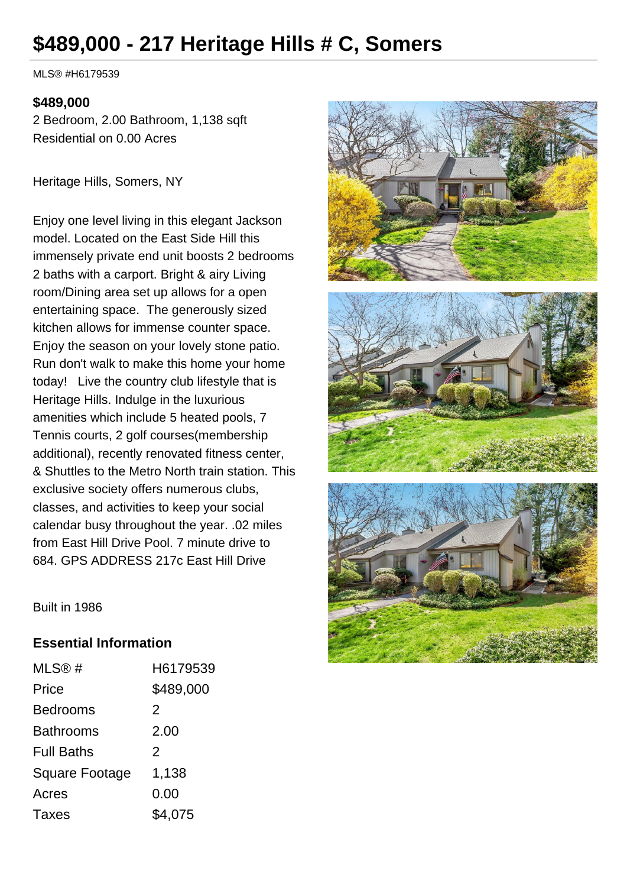# **\$489,000 - 217 Heritage Hills # C, Somers**

MLS® #H6179539

#### **\$489,000**

2 Bedroom, 2.00 Bathroom, 1,138 sqft Residential on 0.00 Acres

Heritage Hills, Somers, NY

Enjoy one level living in this elegant Jackson model. Located on the East Side Hill this immensely private end unit boosts 2 bedrooms 2 baths with a carport. Bright & airy Living room/Dining area set up allows for a open entertaining space. The generously sized kitchen allows for immense counter space. Enjoy the season on your lovely stone patio. Run don't walk to make this home your home today! Live the country club lifestyle that is Heritage Hills. Indulge in the luxurious amenities which include 5 heated pools, 7 Tennis courts, 2 golf courses(membership additional), recently renovated fitness center, & Shuttles to the Metro North train station. This exclusive society offers numerous clubs, classes, and activities to keep your social calendar busy throughout the year. .02 miles from East Hill Drive Pool. 7 minute drive to 684. GPS ADDRESS 217c East Hill Drive



Built in 1986

#### **Essential Information**

| MLS@#                 | H6179539  |
|-----------------------|-----------|
| Price                 | \$489,000 |
| <b>Bedrooms</b>       | 2         |
| Bathrooms             | 2.00      |
| <b>Full Baths</b>     | 2         |
| <b>Square Footage</b> | 1,138     |
| Acres                 | 0.00      |
| Taxes                 | \$4,075   |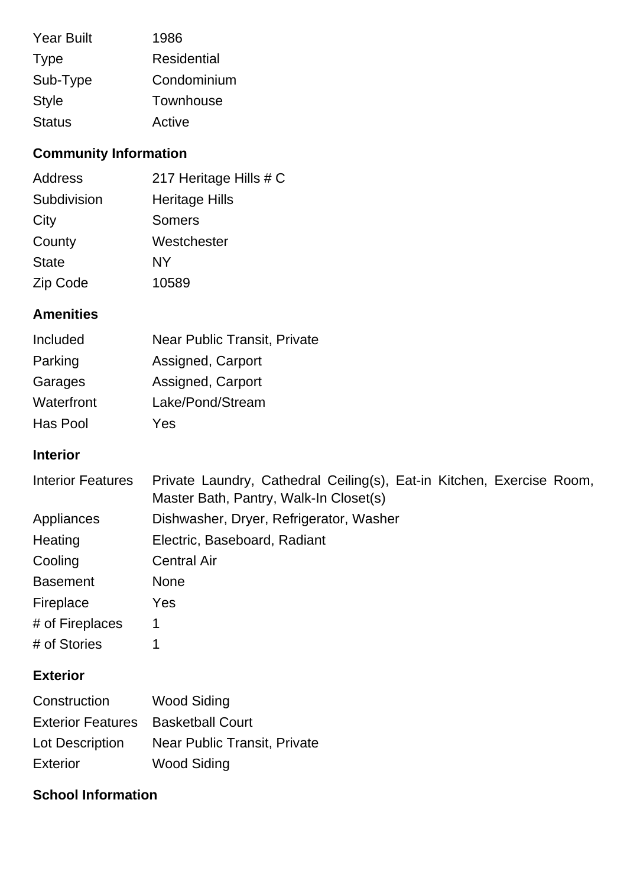| <b>Year Built</b> | 1986               |
|-------------------|--------------------|
| <b>Type</b>       | <b>Residential</b> |
| Sub-Type          | Condominium        |
| <b>Style</b>      | Townhouse          |
| <b>Status</b>     | Active             |

## **Community Information**

| <b>Address</b> | 217 Heritage Hills # C |
|----------------|------------------------|
| Subdivision    | <b>Heritage Hills</b>  |
| City           | <b>Somers</b>          |
| County         | Westchester            |
| <b>State</b>   | NY                     |
| Zip Code       | 10589                  |

## **Amenities**

| Included   | <b>Near Public Transit, Private</b> |
|------------|-------------------------------------|
| Parking    | Assigned, Carport                   |
| Garages    | Assigned, Carport                   |
| Waterfront | Lake/Pond/Stream                    |
| Has Pool   | Yes                                 |

## **Interior**

| <b>Interior Features</b> | Private Laundry, Cathedral Ceiling(s), Eat-in Kitchen, Exercise Room,<br>Master Bath, Pantry, Walk-In Closet(s) |
|--------------------------|-----------------------------------------------------------------------------------------------------------------|
| Appliances               | Dishwasher, Dryer, Refrigerator, Washer                                                                         |
| Heating                  | Electric, Baseboard, Radiant                                                                                    |
| Cooling                  | <b>Central Air</b>                                                                                              |
| <b>Basement</b>          | <b>None</b>                                                                                                     |
| Fireplace                | Yes                                                                                                             |
| # of Fireplaces          | 1                                                                                                               |
| # of Stories             |                                                                                                                 |

## **Exterior**

| Construction                              | <b>Wood Siding</b>           |
|-------------------------------------------|------------------------------|
| <b>Exterior Features</b> Basketball Court |                              |
| Lot Description                           | Near Public Transit, Private |
| <b>Exterior</b>                           | <b>Wood Siding</b>           |

## **School Information**